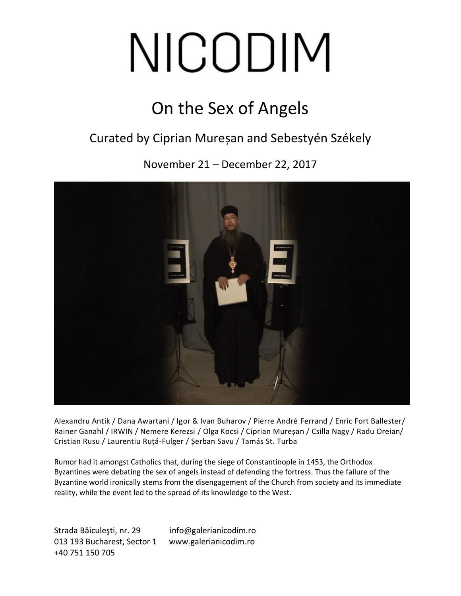# NICODIM

### On the Sex of Angels

#### Curated by Ciprian Mureșan and Sebestyén Székely

November 21 – December 22, 2017



Alexandru Antik / Dana Awartani / Igor & Ivan Buharov / Pierre André Ferrand / Enric Fort Ballester/ Rainer Ganahl / IRWIN / Nemere Kerezsi / Olga Kocsi / Ciprian Mureșan / Csilla Nagy / Radu Oreian/ Cristian Rusu / Laurentiu Ruță-Fulger / Șerban Savu / Tamás St. Turba

Rumor had it amongst Catholics that, during the siege of Constantinople in 1453, the Orthodox Byzantines were debating the sex of angels instead of defending the fortress. Thus the failure of the Byzantine world ironically stems from the disengagement of the Church from society and its immediate reality, while the event led to the spread of its knowledge to the West.

Strada Băiculeşti, nr. 29 info@galerianicodim.ro 013 193 Bucharest, Sector 1 www.galerianicodim.ro +40 751 150 705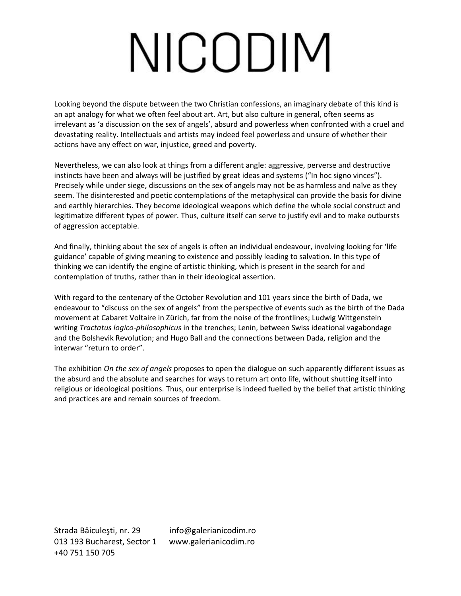# NICODIM

Looking beyond the dispute between the two Christian confessions, an imaginary debate of this kind is an apt analogy for what we often feel about art. Art, but also culture in general, often seems as irrelevant as 'a discussion on the sex of angels', absurd and powerless when confronted with a cruel and devastating reality. Intellectuals and artists may indeed feel powerless and unsure of whether their actions have any effect on war, injustice, greed and poverty.

Nevertheless, we can also look at things from a different angle: aggressive, perverse and destructive instincts have been and always will be justified by great ideas and systems ("In hoc signo vinces"). Precisely while under siege, discussions on the sex of angels may not be as harmless and naïve as they seem. The disinterested and poetic contemplations of the metaphysical can provide the basis for divine and earthly hierarchies. They become ideological weapons which define the whole social construct and legitimatize different types of power. Thus, culture itself can serve to justify evil and to make outbursts of aggression acceptable.

And finally, thinking about the sex of angels is often an individual endeavour, involving looking for 'life guidance' capable of giving meaning to existence and possibly leading to salvation. In this type of thinking we can identify the engine of artistic thinking, which is present in the search for and contemplation of truths, rather than in their ideological assertion.

With regard to the centenary of the October Revolution and 101 years since the birth of Dada, we endeavour to "discuss on the sex of angels" from the perspective of events such as the birth of the Dada movement at Cabaret Voltaire in Zürich, far from the noise of the frontlines; Ludwig Wittgenstein writing *Tractatus logico-philosophicus* in the trenches; Lenin, between Swiss ideational vagabondage and the Bolshevik Revolution; and Hugo Ball and the connections between Dada, religion and the interwar "return to order".

The exhibition *On the sex of angels* proposes to open the dialogue on such apparently different issues as the absurd and the absolute and searches for ways to return art onto life, without shutting itself into religious or ideological positions. Thus, our enterprise is indeed fuelled by the belief that artistic thinking and practices are and remain sources of freedom.

Strada Băiculeşti, nr. 29 info@galerianicodim.ro 013 193 Bucharest, Sector 1 www.galerianicodim.ro +40 751 150 705